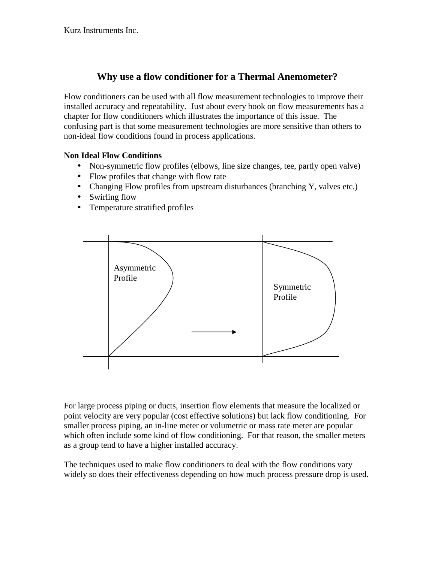# **Why use a flow conditioner for a Thermal Anemometer?**

Flow conditioners can be used with all flow measurement technologies to improve their installed accuracy and repeatability. Just about every book on flow measurements has a chapter for flow conditioners which illustrates the importance of this issue. The confusing part is that some measurement technologies are more sensitive than others to non-ideal flow conditions found in process applications.

### **Non Ideal Flow Conditions**

- Non-symmetric flow profiles (elbows, line size changes, tee, partly open valve)
- Flow profiles that change with flow rate  $\mathcal{L}^{\text{max}}$
- Changing Flow profiles from upstream disturbances (branching Y, valves etc.)
- Swirling flow  $\mathbf{r}$
- Temperature stratified profiles  $\mathbf{r}$



For large process piping or ducts, insertion flow elements that measure the localized or point velocity are very popular (cost effective solutions) but lack flow conditioning. For smaller process piping, an in-line meter or volumetric or mass rate meter are popular which often include some kind of flow conditioning. For that reason, the smaller meters as a group tend to have a higher installed accuracy.

The techniques used to make flow conditioners to deal with the flow conditions vary widely so does their effectiveness depending on how much process pressure drop is used.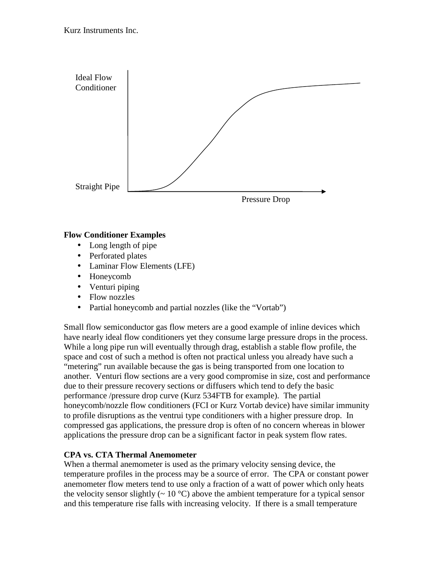

### **Flow Conditioner Examples**

- Long length of pipe
- Perforated plates
- Laminar Flow Elements (LFE)
- Honeycomb
- Venturi piping
- Flow nozzles  $\mathcal{L}^{\text{max}}$
- $\mathbf{r}^{\prime}$ Partial honeycomb and partial nozzles (like the "Vortab")

Small flow semiconductor gas flow meters are a good example of inline devices which have nearly ideal flow conditioners yet they consume large pressure drops in the process. While a long pipe run will eventually through drag, establish a stable flow profile, the space and cost of such a method is often not practical unless you already have such a "metering" run available because the gas is being transported from one location to another. Venturi flow sections are a very good compromise in size, cost and performance due to their pressure recovery sections or diffusers which tend to defy the basic performance /pressure drop curve (Kurz 534FTB for example). The partial honeycomb/nozzle flow conditioners (FCI or Kurz Vortab device) have similar immunity to profile disruptions as the ventrui type conditioners with a higher pressure drop. In compressed gas applications, the pressure drop is often of no concern whereas in blower applications the pressure drop can be a significant factor in peak system flow rates.

## **CPA vs. CTA Thermal Anemometer**

When a thermal anemometer is used as the primary velocity sensing device, the temperature profiles in the process may be a source of error. The CPA or constant power anemometer flow meters tend to use only a fraction of a watt of power which only heats the velocity sensor slightly ( $\sim 10^{\circ}$ C) above the ambient temperature for a typical sensor and this temperature rise falls with increasing velocity. If there is a small temperature